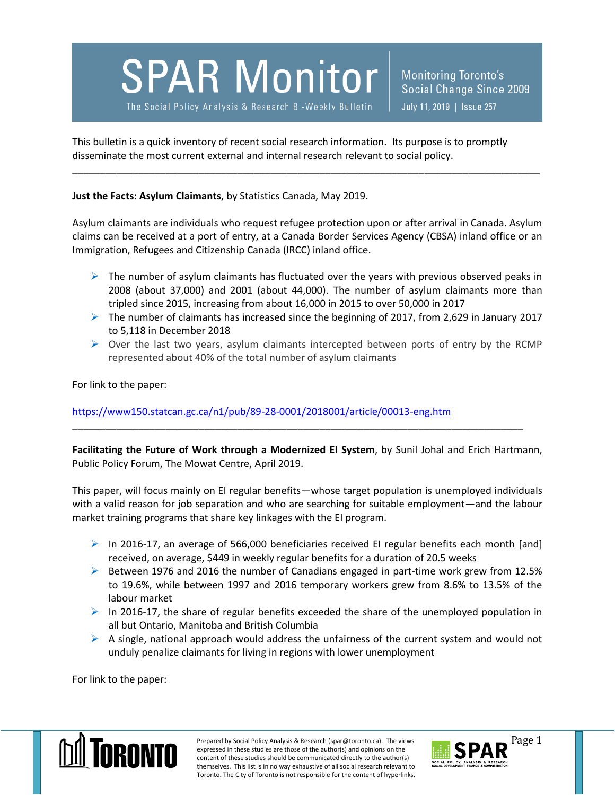**SPAR Monitor** 

The Social Policy Analysis & Research Bi-Weekly Bulletin

Monitoring Toronto's Social Change Since 2009 July 11, 2019 | Issue 257

This bulletin is a quick inventory of recent social research information. Its purpose is to promptly disseminate the most current external and internal research relevant to social policy.

**Just the Facts: Asylum Claimants**, by Statistics Canada, May 2019.

Asylum claimants are individuals who request refugee protection upon or after arrival in Canada. Asylum claims can be received at a port of entry, at a Canada Border Services Agency (CBSA) inland office or an Immigration, Refugees and Citizenship Canada (IRCC) inland office.

\_\_\_\_\_\_\_\_\_\_\_\_\_\_\_\_\_\_\_\_\_\_\_\_\_\_\_\_\_\_\_\_\_\_\_\_\_\_\_\_\_\_\_\_\_\_\_\_\_\_\_\_\_\_\_\_\_\_\_\_\_\_\_\_\_\_\_\_\_\_\_\_\_\_\_\_\_\_\_\_\_\_\_\_\_

- $\triangleright$  The number of asylum claimants has fluctuated over the years with previous observed peaks in 2008 (about 37,000) and 2001 (about 44,000). The number of asylum claimants more than tripled since 2015, increasing from about 16,000 in 2015 to over 50,000 in 2017
- The number of claimants has increased since the beginning of 2017, from 2,629 in January 2017 to 5,118 in December 2018
- $\triangleright$  Over the last two years, asylum claimants intercepted between ports of entry by the RCMP represented about 40% of the total number of asylum claimants

For link to the paper:

<https://www150.statcan.gc.ca/n1/pub/89-28-0001/2018001/article/00013-eng.htm>

**Facilitating the Future of Work through a Modernized EI System**, by Sunil Johal and Erich Hartmann, Public Policy Forum, The Mowat Centre, April 2019.

\_\_\_\_\_\_\_\_\_\_\_\_\_\_\_\_\_\_\_\_\_\_\_\_\_\_\_\_\_\_\_\_\_\_\_\_\_\_\_\_\_\_\_\_\_\_\_\_\_\_\_\_\_\_\_\_\_\_\_\_\_\_\_\_\_\_\_\_\_\_\_\_\_\_\_\_\_\_\_\_\_\_

This paper, will focus mainly on EI regular benefits—whose target population is unemployed individuals with a valid reason for job separation and who are searching for suitable employment—and the labour market training programs that share key linkages with the EI program.

- $\triangleright$  In 2016-17, an average of 566,000 beneficiaries received EI regular benefits each month [and] received, on average, \$449 in weekly regular benefits for a duration of 20.5 weeks
- $\triangleright$  Between 1976 and 2016 the number of Canadians engaged in part-time work grew from 12.5% to 19.6%, while between 1997 and 2016 temporary workers grew from 8.6% to 13.5% of the labour market
- In 2016-17, the share of regular benefits exceeded the share of the unemployed population in all but Ontario, Manitoba and British Columbia
- $\triangleright$  A single, national approach would address the unfairness of the current system and would not unduly penalize claimants for living in regions with lower unemployment

For link to the paper:



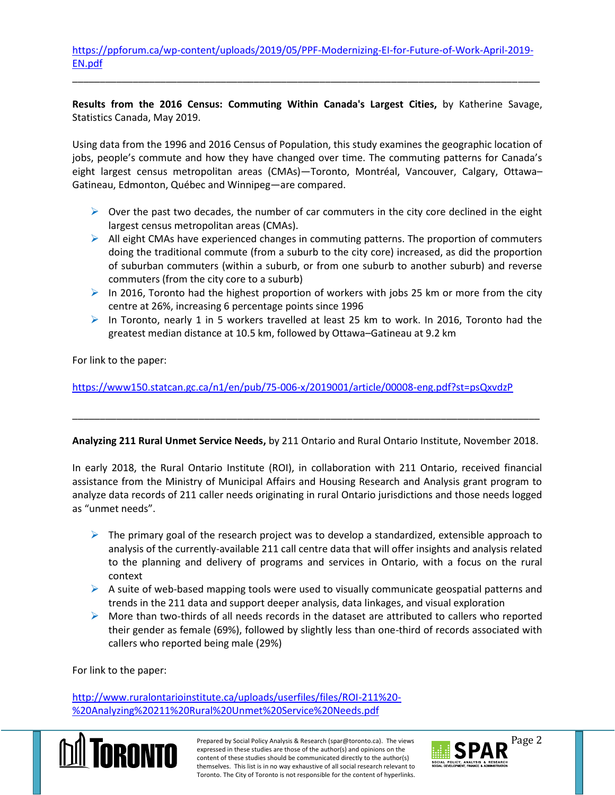[https://ppforum.ca/wp-content/uploads/2019/05/PPF-Modernizing-EI-for-Future-of-Work-April-2019-](https://ppforum.ca/wp-content/uploads/2019/05/PPF-Modernizing-EI-for-Future-of-Work-April-2019-EN.pdf) [EN.pdf](https://ppforum.ca/wp-content/uploads/2019/05/PPF-Modernizing-EI-for-Future-of-Work-April-2019-EN.pdf)

\_\_\_\_\_\_\_\_\_\_\_\_\_\_\_\_\_\_\_\_\_\_\_\_\_\_\_\_\_\_\_\_\_\_\_\_\_\_\_\_\_\_\_\_\_\_\_\_\_\_\_\_\_\_\_\_\_\_\_\_\_\_\_\_\_\_\_\_\_\_\_\_\_\_\_\_\_\_\_\_\_\_\_\_\_

**Results from the 2016 Census: Commuting Within Canada's Largest Cities,** by Katherine Savage, Statistics Canada, May 2019.

Using data from the 1996 and 2016 Census of Population, this study examines the geographic location of jobs, people's commute and how they have changed over time. The commuting patterns for Canada's eight largest census metropolitan areas (CMAs)—Toronto, Montréal, Vancouver, Calgary, Ottawa– Gatineau, Edmonton, Québec and Winnipeg—are compared.

- $\triangleright$  Over the past two decades, the number of car commuters in the city core declined in the eight largest census metropolitan areas (CMAs).
- $\triangleright$  All eight CMAs have experienced changes in commuting patterns. The proportion of commuters doing the traditional commute (from a suburb to the city core) increased, as did the proportion of suburban commuters (within a suburb, or from one suburb to another suburb) and reverse commuters (from the city core to a suburb)
- $\triangleright$  In 2016, Toronto had the highest proportion of workers with jobs 25 km or more from the city centre at 26%, increasing 6 percentage points since 1996
- $\triangleright$  In Toronto, nearly 1 in 5 workers travelled at least 25 km to work. In 2016, Toronto had the greatest median distance at 10.5 km, followed by Ottawa–Gatineau at 9.2 km

For link to the paper:

<https://www150.statcan.gc.ca/n1/en/pub/75-006-x/2019001/article/00008-eng.pdf?st=psQxvdzP>

## **Analyzing 211 Rural Unmet Service Needs,** by 211 Ontario and Rural Ontario Institute, November 2018.

\_\_\_\_\_\_\_\_\_\_\_\_\_\_\_\_\_\_\_\_\_\_\_\_\_\_\_\_\_\_\_\_\_\_\_\_\_\_\_\_\_\_\_\_\_\_\_\_\_\_\_\_\_\_\_\_\_\_\_\_\_\_\_\_\_\_\_\_\_\_\_\_\_\_\_\_\_\_\_\_\_\_\_\_\_

In early 2018, the Rural Ontario Institute (ROI), in collaboration with 211 Ontario, received financial assistance from the Ministry of Municipal Affairs and Housing Research and Analysis grant program to analyze data records of 211 caller needs originating in rural Ontario jurisdictions and those needs logged as "unmet needs".

- $\triangleright$  The primary goal of the research project was to develop a standardized, extensible approach to analysis of the currently-available 211 call centre data that will offer insights and analysis related to the planning and delivery of programs and services in Ontario, with a focus on the rural context
- $\triangleright$  A suite of web-based mapping tools were used to visually communicate geospatial patterns and trends in the 211 data and support deeper analysis, data linkages, and visual exploration
- $\triangleright$  More than two-thirds of all needs records in the dataset are attributed to callers who reported their gender as female (69%), followed by slightly less than one-third of records associated with callers who reported being male (29%)

For link to the paper:

[http://www.ruralontarioinstitute.ca/uploads/userfiles/files/ROI-211%20-](http://www.ruralontarioinstitute.ca/uploads/userfiles/files/ROI-211%20-%20Analyzing%20211%20Rural%20Unmet%20Service%20Needs.pdf) [%20Analyzing%20211%20Rural%20Unmet%20Service%20Needs.pdf](http://www.ruralontarioinstitute.ca/uploads/userfiles/files/ROI-211%20-%20Analyzing%20211%20Rural%20Unmet%20Service%20Needs.pdf)



Prepared by Social Policy Analysis & Research (spar@toronto.ca). The views Page 2 expressed in these studies are those of the author(s) and opinions on the content of these studies should be communicated directly to the author(s) themselves. This list is in no way exhaustive of all social research relevant to Toronto. The City of Toronto is not responsible for the content of hyperlinks.